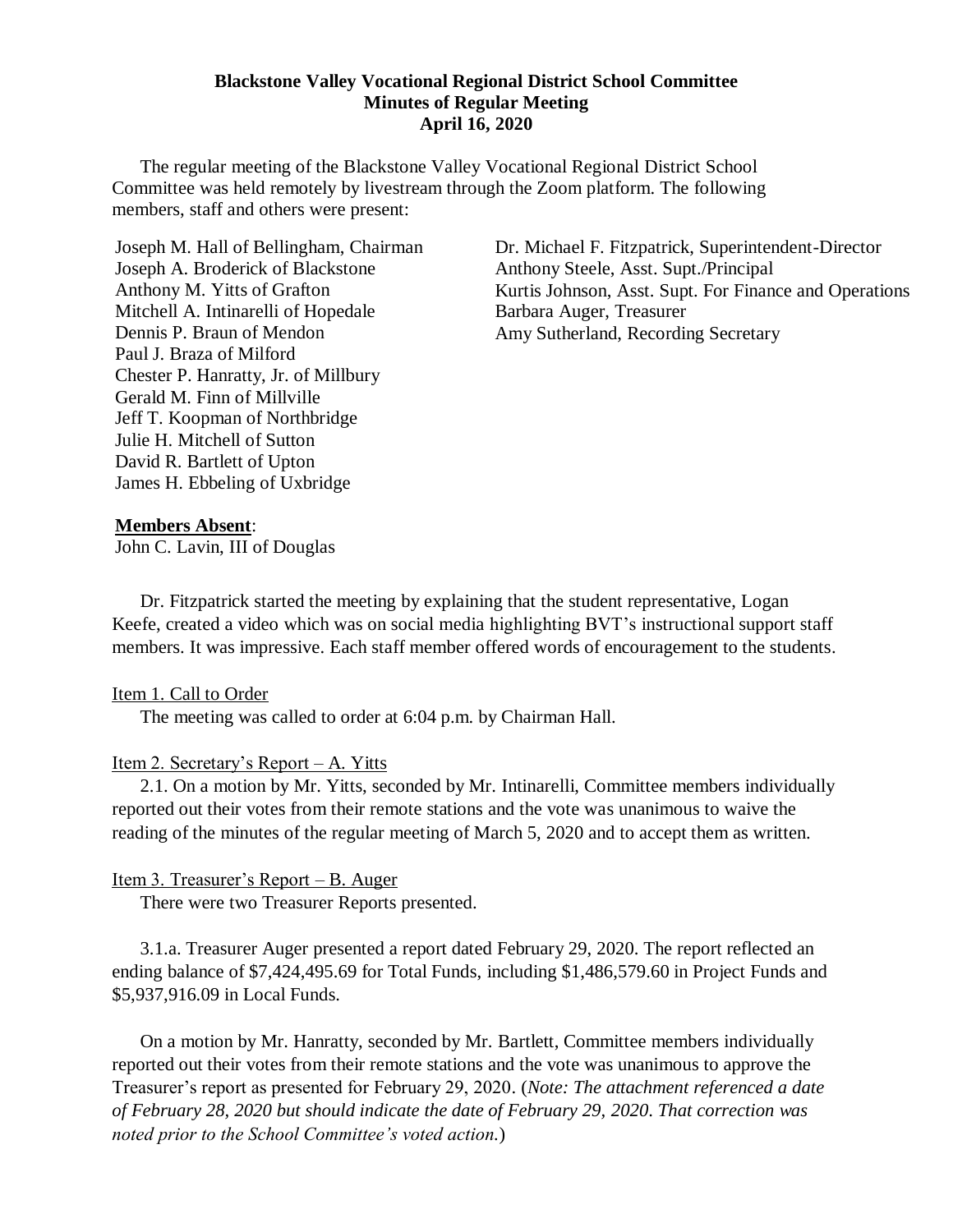#### **Blackstone Valley Vocational Regional District School Committee Minutes of Regular Meeting April 16, 2020**

The regular meeting of the Blackstone Valley Vocational Regional District School Committee was held remotely by livestream through the Zoom platform. The following members, staff and others were present:

Joseph M. Hall of Bellingham, Chairman Joseph A. Broderick of Blackstone Anthony M. Yitts of Grafton Mitchell A. Intinarelli of Hopedale Dennis P. Braun of Mendon Paul J. Braza of Milford Chester P. Hanratty, Jr. of Millbury Gerald M. Finn of Millville Jeff T. Koopman of Northbridge Julie H. Mitchell of Sutton David R. Bartlett of Upton James H. Ebbeling of Uxbridge

Dr. Michael F. Fitzpatrick, Superintendent-Director Anthony Steele, Asst. Supt./Principal Kurtis Johnson, Asst. Supt. For Finance and Operations Barbara Auger, Treasurer Amy Sutherland, Recording Secretary

### **Members Absent**:

John C. Lavin, III of Douglas

Dr. Fitzpatrick started the meeting by explaining that the student representative, Logan Keefe, created a video which was on social media highlighting BVT's instructional support staff members. It was impressive. Each staff member offered words of encouragement to the students.

## Item 1. Call to Order

The meeting was called to order at 6:04 p.m. by Chairman Hall.

## Item 2. Secretary's Report – A. Yitts

2.1. On a motion by Mr. Yitts, seconded by Mr. Intinarelli, Committee members individually reported out their votes from their remote stations and the vote was unanimous to waive the reading of the minutes of the regular meeting of March 5, 2020 and to accept them as written.

## Item 3. Treasurer's Report – B. Auger

There were two Treasurer Reports presented.

3.1.a. Treasurer Auger presented a report dated February 29, 2020. The report reflected an ending balance of \$7,424,495.69 for Total Funds, including \$1,486,579.60 in Project Funds and \$5,937,916.09 in Local Funds.

On a motion by Mr. Hanratty, seconded by Mr. Bartlett, Committee members individually reported out their votes from their remote stations and the vote was unanimous to approve the Treasurer's report as presented for February 29, 2020. (*Note: The attachment referenced a date of February 28, 2020 but should indicate the date of February 29, 2020*. *That correction was noted prior to the School Committee's voted action.*)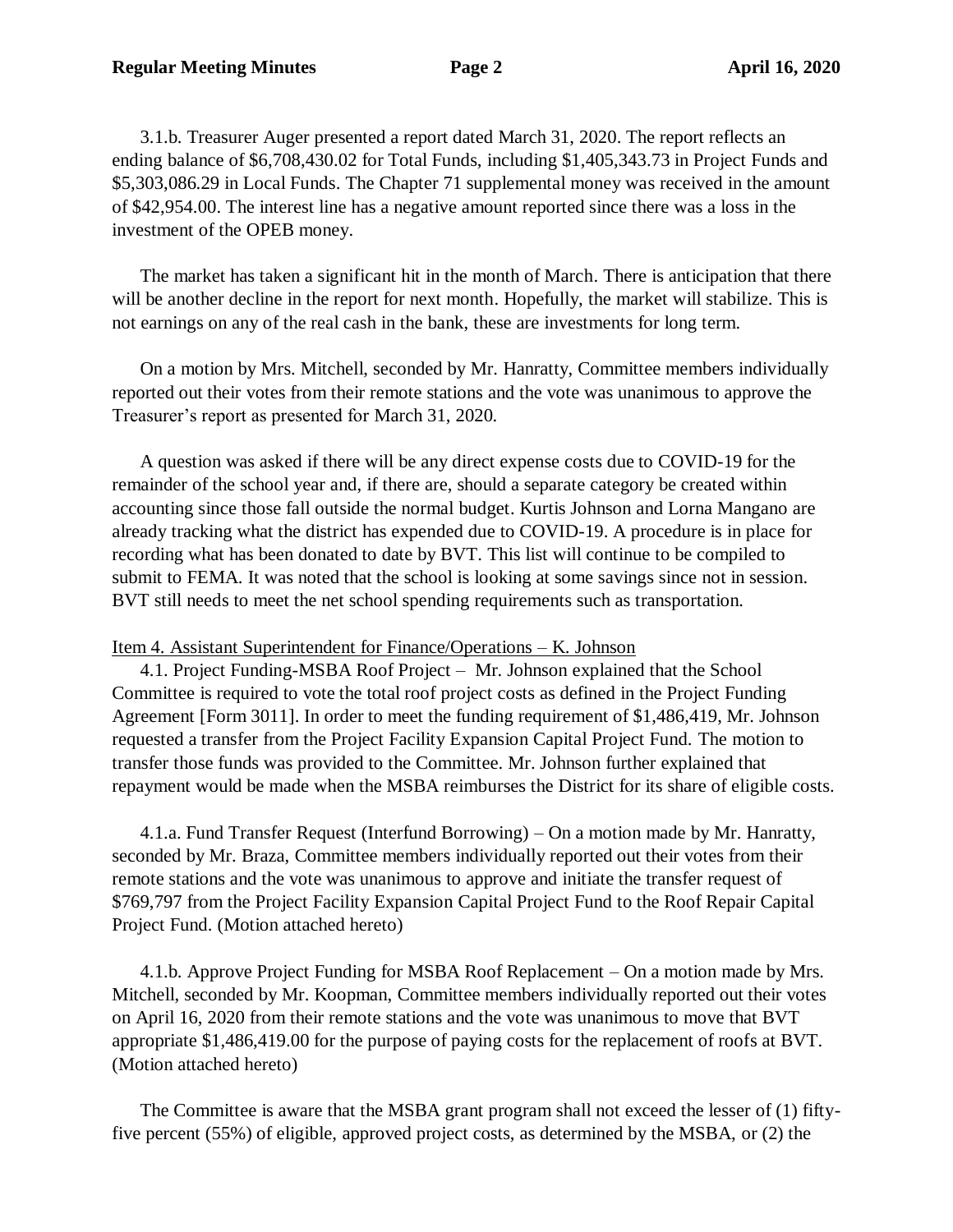3.1.b. Treasurer Auger presented a report dated March 31, 2020. The report reflects an ending balance of \$6,708,430.02 for Total Funds, including \$1,405,343.73 in Project Funds and \$5,303,086.29 in Local Funds. The Chapter 71 supplemental money was received in the amount of \$42,954.00. The interest line has a negative amount reported since there was a loss in the investment of the OPEB money.

The market has taken a significant hit in the month of March. There is anticipation that there will be another decline in the report for next month. Hopefully, the market will stabilize. This is not earnings on any of the real cash in the bank, these are investments for long term.

On a motion by Mrs. Mitchell, seconded by Mr. Hanratty, Committee members individually reported out their votes from their remote stations and the vote was unanimous to approve the Treasurer's report as presented for March 31, 2020.

A question was asked if there will be any direct expense costs due to COVID-19 for the remainder of the school year and, if there are, should a separate category be created within accounting since those fall outside the normal budget. Kurtis Johnson and Lorna Mangano are already tracking what the district has expended due to COVID-19. A procedure is in place for recording what has been donated to date by BVT. This list will continue to be compiled to submit to FEMA. It was noted that the school is looking at some savings since not in session. BVT still needs to meet the net school spending requirements such as transportation.

## Item 4. Assistant Superintendent for Finance/Operations – K. Johnson

4.1. Project Funding-MSBA Roof Project – Mr. Johnson explained that the School Committee is required to vote the total roof project costs as defined in the Project Funding Agreement [Form 3011]. In order to meet the funding requirement of \$1,486,419, Mr. Johnson requested a transfer from the Project Facility Expansion Capital Project Fund. The motion to transfer those funds was provided to the Committee. Mr. Johnson further explained that repayment would be made when the MSBA reimburses the District for its share of eligible costs.

4.1.a. Fund Transfer Request (Interfund Borrowing) – On a motion made by Mr. Hanratty, seconded by Mr. Braza, Committee members individually reported out their votes from their remote stations and the vote was unanimous to approve and initiate the transfer request of \$769,797 from the Project Facility Expansion Capital Project Fund to the Roof Repair Capital Project Fund. (Motion attached hereto)

4.1.b. Approve Project Funding for MSBA Roof Replacement – On a motion made by Mrs. Mitchell, seconded by Mr. Koopman, Committee members individually reported out their votes on April 16, 2020 from their remote stations and the vote was unanimous to move that BVT appropriate \$1,486,419.00 for the purpose of paying costs for the replacement of roofs at BVT. (Motion attached hereto)

The Committee is aware that the MSBA grant program shall not exceed the lesser of (1) fiftyfive percent (55%) of eligible, approved project costs, as determined by the MSBA, or (2) the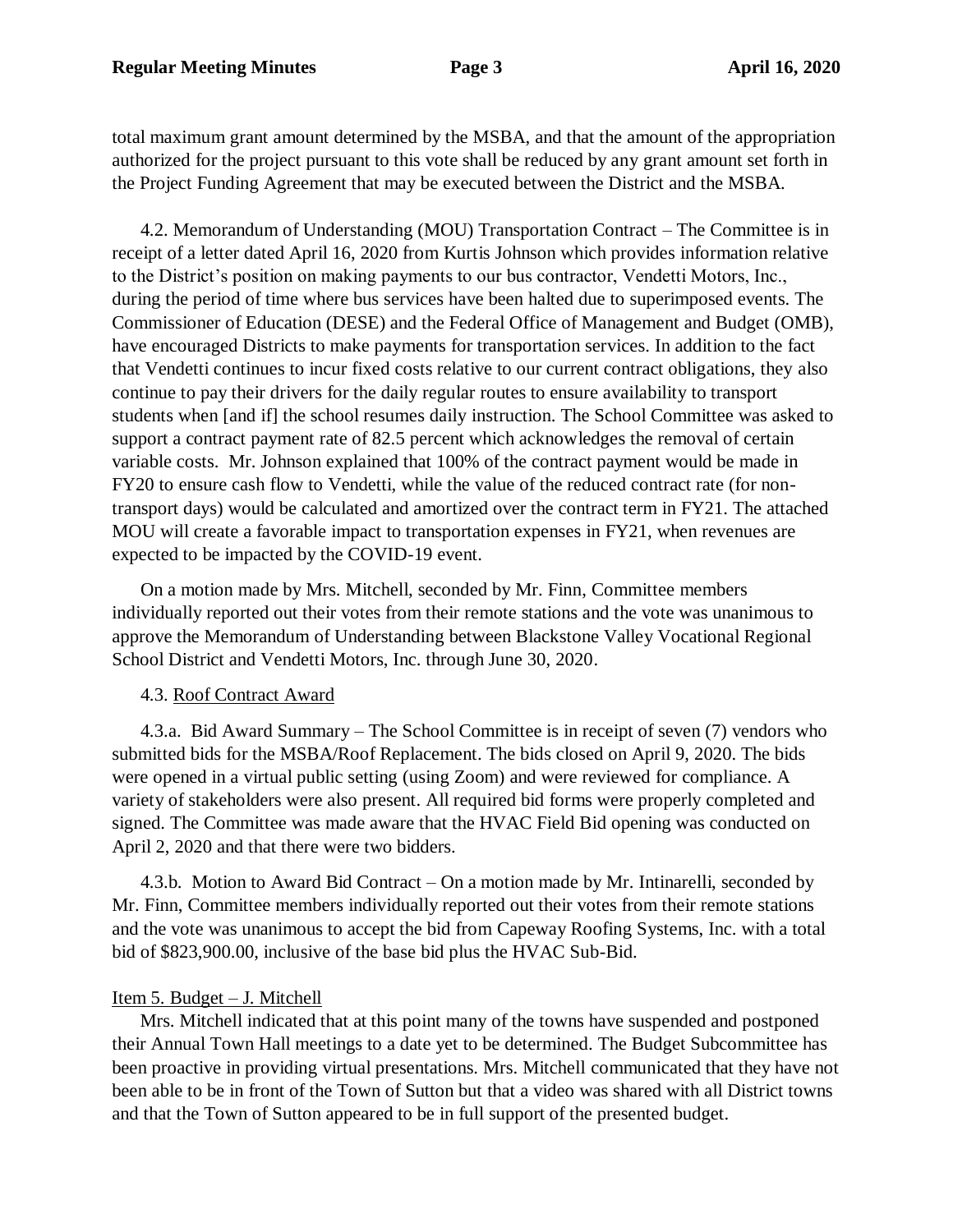total maximum grant amount determined by the MSBA, and that the amount of the appropriation authorized for the project pursuant to this vote shall be reduced by any grant amount set forth in the Project Funding Agreement that may be executed between the District and the MSBA.

 4.2. Memorandum of Understanding (MOU) Transportation Contract – The Committee is in receipt of a letter dated April 16, 2020 from Kurtis Johnson which provides information relative to the District's position on making payments to our bus contractor, Vendetti Motors, Inc., during the period of time where bus services have been halted due to superimposed events. The Commissioner of Education (DESE) and the Federal Office of Management and Budget (OMB), have encouraged Districts to make payments for transportation services. In addition to the fact that Vendetti continues to incur fixed costs relative to our current contract obligations, they also continue to pay their drivers for the daily regular routes to ensure availability to transport students when [and if] the school resumes daily instruction. The School Committee was asked to support a contract payment rate of 82.5 percent which acknowledges the removal of certain variable costs. Mr. Johnson explained that 100% of the contract payment would be made in FY20 to ensure cash flow to Vendetti, while the value of the reduced contract rate (for nontransport days) would be calculated and amortized over the contract term in FY21. The attached MOU will create a favorable impact to transportation expenses in FY21, when revenues are expected to be impacted by the COVID-19 event.

 On a motion made by Mrs. Mitchell, seconded by Mr. Finn, Committee members individually reported out their votes from their remote stations and the vote was unanimous to approve the Memorandum of Understanding between Blackstone Valley Vocational Regional School District and Vendetti Motors, Inc. through June 30, 2020.

## 4.3. Roof Contract Award

 4.3.a. Bid Award Summary – The School Committee is in receipt of seven (7) vendors who submitted bids for the MSBA/Roof Replacement. The bids closed on April 9, 2020. The bids were opened in a virtual public setting (using Zoom) and were reviewed for compliance. A variety of stakeholders were also present. All required bid forms were properly completed and signed. The Committee was made aware that the HVAC Field Bid opening was conducted on April 2, 2020 and that there were two bidders.

 4.3.b. Motion to Award Bid Contract – On a motion made by Mr. Intinarelli, seconded by Mr. Finn, Committee members individually reported out their votes from their remote stations and the vote was unanimous to accept the bid from Capeway Roofing Systems, Inc. with a total bid of \$823,900.00, inclusive of the base bid plus the HVAC Sub-Bid.

# Item 5. Budget – J. Mitchell

Mrs. Mitchell indicated that at this point many of the towns have suspended and postponed their Annual Town Hall meetings to a date yet to be determined. The Budget Subcommittee has been proactive in providing virtual presentations. Mrs. Mitchell communicated that they have not been able to be in front of the Town of Sutton but that a video was shared with all District towns and that the Town of Sutton appeared to be in full support of the presented budget.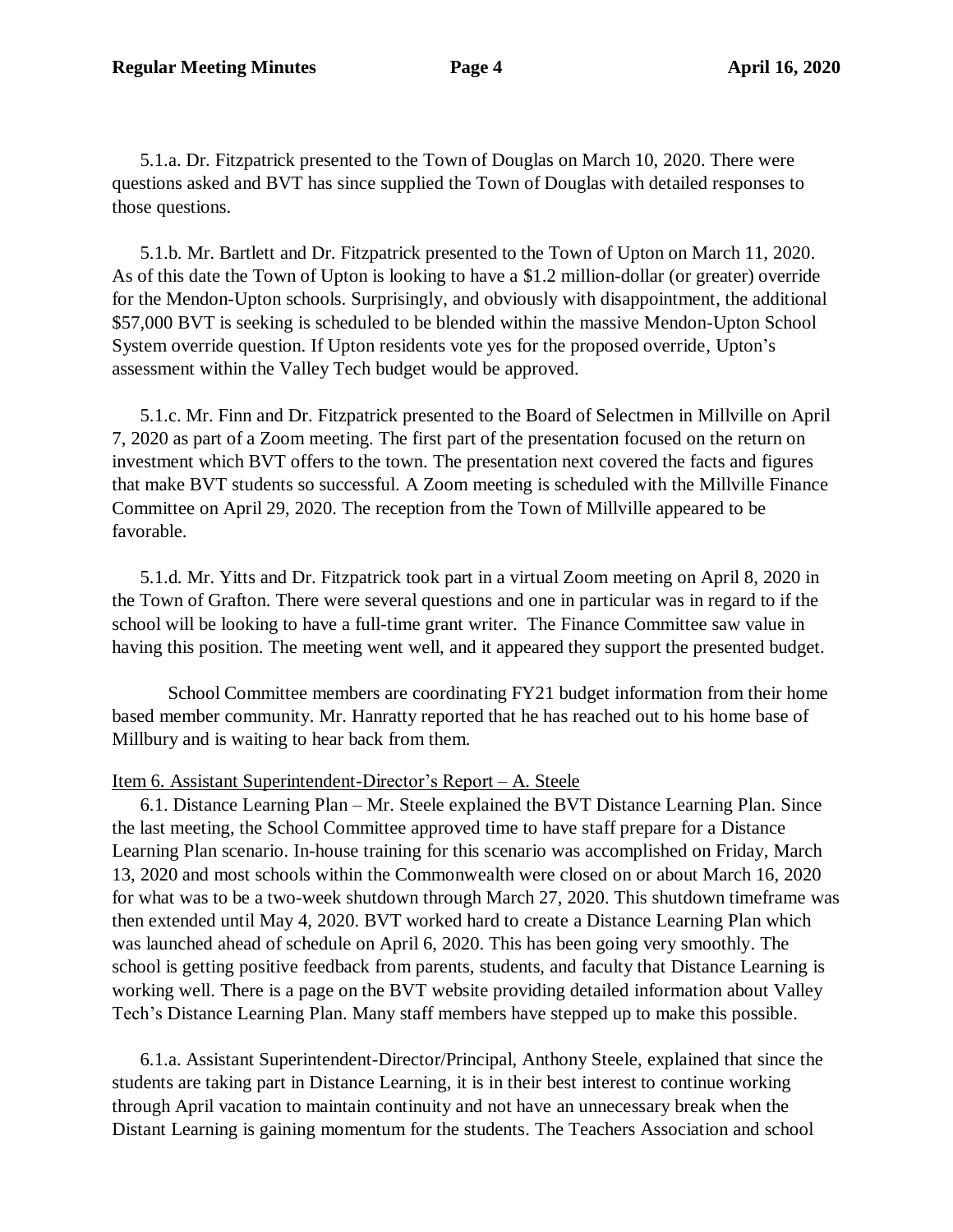5.1.a. Dr. Fitzpatrick presented to the Town of Douglas on March 10, 2020. There were questions asked and BVT has since supplied the Town of Douglas with detailed responses to those questions.

5.1.b. Mr. Bartlett and Dr. Fitzpatrick presented to the Town of Upton on March 11, 2020. As of this date the Town of Upton is looking to have a \$1.2 million-dollar (or greater) override for the Mendon-Upton schools. Surprisingly, and obviously with disappointment, the additional \$57,000 BVT is seeking is scheduled to be blended within the massive Mendon-Upton School System override question. If Upton residents vote yes for the proposed override, Upton's assessment within the Valley Tech budget would be approved.

5.1.c. Mr. Finn and Dr. Fitzpatrick presented to the Board of Selectmen in Millville on April 7, 2020 as part of a Zoom meeting. The first part of the presentation focused on the return on investment which BVT offers to the town. The presentation next covered the facts and figures that make BVT students so successful. A Zoom meeting is scheduled with the Millville Finance Committee on April 29, 2020. The reception from the Town of Millville appeared to be favorable.

5.1.d. Mr. Yitts and Dr. Fitzpatrick took part in a virtual Zoom meeting on April 8, 2020 in the Town of Grafton. There were several questions and one in particular was in regard to if the school will be looking to have a full-time grant writer. The Finance Committee saw value in having this position. The meeting went well, and it appeared they support the presented budget.

School Committee members are coordinating FY21 budget information from their home based member community. Mr. Hanratty reported that he has reached out to his home base of Millbury and is waiting to hear back from them.

## Item 6. Assistant Superintendent-Director's Report – A. Steele

6.1. Distance Learning Plan – Mr. Steele explained the BVT Distance Learning Plan. Since the last meeting, the School Committee approved time to have staff prepare for a Distance Learning Plan scenario. In-house training for this scenario was accomplished on Friday, March 13, 2020 and most schools within the Commonwealth were closed on or about March 16, 2020 for what was to be a two-week shutdown through March 27, 2020. This shutdown timeframe was then extended until May 4, 2020. BVT worked hard to create a Distance Learning Plan which was launched ahead of schedule on April 6, 2020. This has been going very smoothly. The school is getting positive feedback from parents, students, and faculty that Distance Learning is working well. There is a page on the BVT website providing detailed information about Valley Tech's Distance Learning Plan. Many staff members have stepped up to make this possible.

6.1.a. Assistant Superintendent-Director/Principal, Anthony Steele, explained that since the students are taking part in Distance Learning, it is in their best interest to continue working through April vacation to maintain continuity and not have an unnecessary break when the Distant Learning is gaining momentum for the students. The Teachers Association and school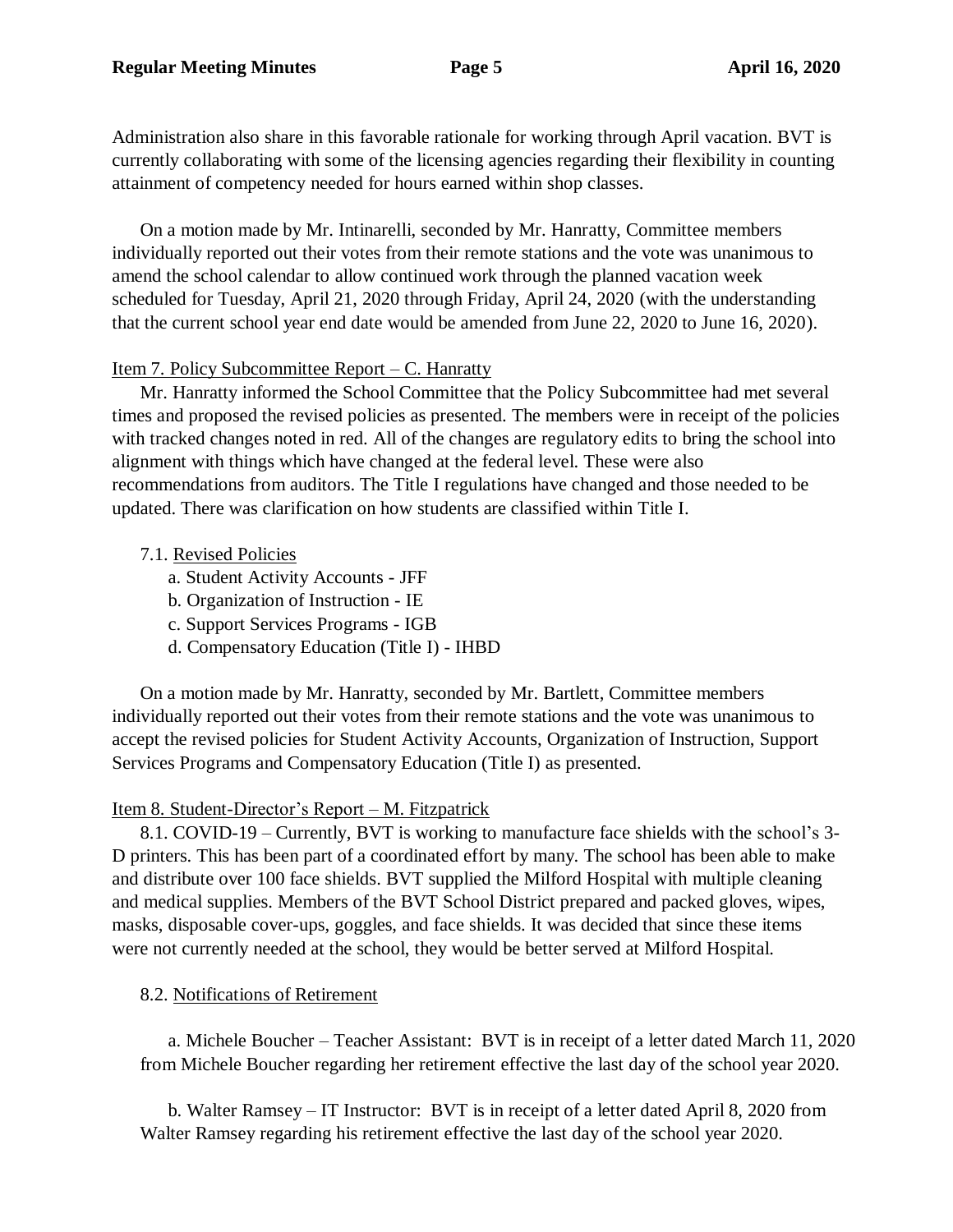Administration also share in this favorable rationale for working through April vacation. BVT is currently collaborating with some of the licensing agencies regarding their flexibility in counting attainment of competency needed for hours earned within shop classes.

 On a motion made by Mr. Intinarelli, seconded by Mr. Hanratty, Committee members individually reported out their votes from their remote stations and the vote was unanimous to amend the school calendar to allow continued work through the planned vacation week scheduled for Tuesday, April 21, 2020 through Friday, April 24, 2020 (with the understanding that the current school year end date would be amended from June 22, 2020 to June 16, 2020).

## Item 7. Policy Subcommittee Report – C. Hanratty

Mr. Hanratty informed the School Committee that the Policy Subcommittee had met several times and proposed the revised policies as presented. The members were in receipt of the policies with tracked changes noted in red. All of the changes are regulatory edits to bring the school into alignment with things which have changed at the federal level. These were also recommendations from auditors. The Title I regulations have changed and those needed to be updated. There was clarification on how students are classified within Title I.

# 7.1. Revised Policies

- a. Student Activity Accounts JFF
- b. Organization of Instruction IE
- c. Support Services Programs IGB
- d. Compensatory Education (Title I) IHBD

On a motion made by Mr. Hanratty, seconded by Mr. Bartlett, Committee members individually reported out their votes from their remote stations and the vote was unanimous to accept the revised policies for Student Activity Accounts, Organization of Instruction, Support Services Programs and Compensatory Education (Title I) as presented.

# Item 8. Student-Director's Report – M. Fitzpatrick

8.1. COVID-19 – Currently, BVT is working to manufacture face shields with the school's 3- D printers. This has been part of a coordinated effort by many. The school has been able to make and distribute over 100 face shields. BVT supplied the Milford Hospital with multiple cleaning and medical supplies. Members of the BVT School District prepared and packed gloves, wipes, masks, disposable cover-ups, goggles, and face shields. It was decided that since these items were not currently needed at the school, they would be better served at Milford Hospital.

## 8.2. Notifications of Retirement

a. Michele Boucher – Teacher Assistant: BVT is in receipt of a letter dated March 11, 2020 from Michele Boucher regarding her retirement effective the last day of the school year 2020.

b. Walter Ramsey – IT Instructor: BVT is in receipt of a letter dated April 8, 2020 from Walter Ramsey regarding his retirement effective the last day of the school year 2020.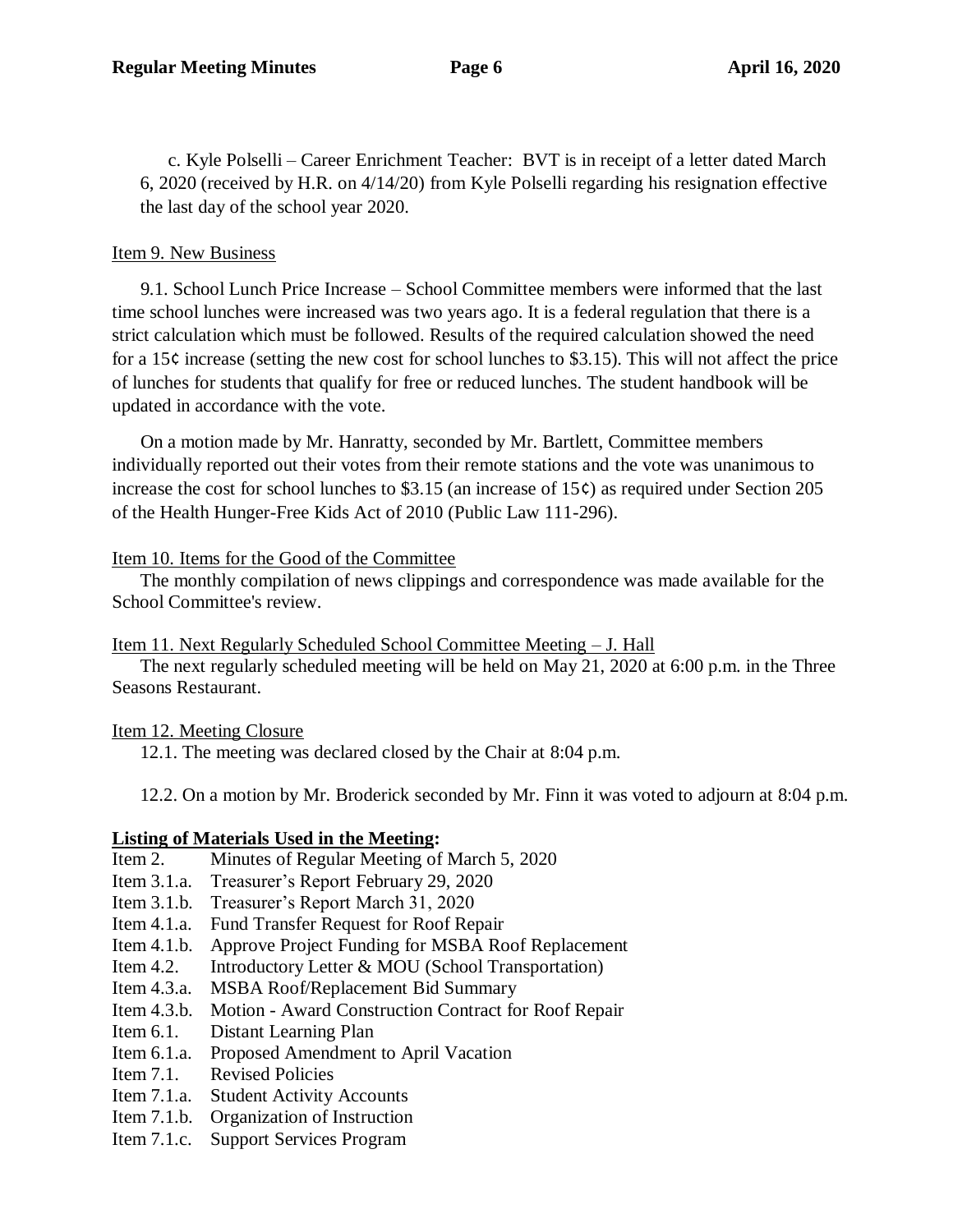c. Kyle Polselli – Career Enrichment Teacher: BVT is in receipt of a letter dated March 6, 2020 (received by H.R. on 4/14/20) from Kyle Polselli regarding his resignation effective the last day of the school year 2020.

# Item 9. New Business

 9.1. School Lunch Price Increase – School Committee members were informed that the last time school lunches were increased was two years ago. It is a federal regulation that there is a strict calculation which must be followed. Results of the required calculation showed the need for a 15¢ increase (setting the new cost for school lunches to \$3.15). This will not affect the price of lunches for students that qualify for free or reduced lunches. The student handbook will be updated in accordance with the vote.

 On a motion made by Mr. Hanratty, seconded by Mr. Bartlett, Committee members individually reported out their votes from their remote stations and the vote was unanimous to increase the cost for school lunches to \$3.15 (an increase of 15¢) as required under Section 205 of the Health Hunger-Free Kids Act of 2010 (Public Law 111-296).

# Item 10. Items for the Good of the Committee

The monthly compilation of news clippings and correspondence was made available for the School Committee's review.

Item 11. Next Regularly Scheduled School Committee Meeting – J. Hall

The next regularly scheduled meeting will be held on May 21, 2020 at 6:00 p.m. in the Three Seasons Restaurant.

# Item 12. Meeting Closure

12.1. The meeting was declared closed by the Chair at 8:04 p.m.

12.2. On a motion by Mr. Broderick seconded by Mr. Finn it was voted to adjourn at 8:04 p.m.

# **Listing of Materials Used in the Meeting:**

- Item 2. Minutes of Regular Meeting of March 5, 2020
- Item 3.1.a. Treasurer's Report February 29, 2020
- Item 3.1.b. Treasurer's Report March 31, 2020
- Item 4.1.a. Fund Transfer Request for Roof Repair
- Item 4.1.b. Approve Project Funding for MSBA Roof Replacement
- Item 4.2. Introductory Letter & MOU (School Transportation)
- Item 4.3.a. MSBA Roof/Replacement Bid Summary
- Item 4.3.b. Motion Award Construction Contract for Roof Repair
- Item 6.1. Distant Learning Plan
- Item 6.1.a. Proposed Amendment to April Vacation
- Item 7.1. Revised Policies
- Item 7.1.a. Student Activity Accounts
- Item 7.1.b. Organization of Instruction
- Item 7.1.c. Support Services Program